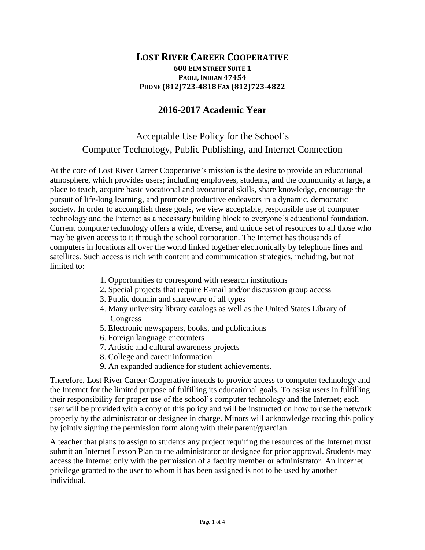## **LOST RIVER CAREER COOPERATIVE 600 ELM STREET SUITE 1 PAOLI, INDIAN 47454 PHONE (812)723-4818 FAX (812)723-4822**

## **2016-2017 Academic Year**

## Acceptable Use Policy for the School's Computer Technology, Public Publishing, and Internet Connection

At the core of Lost River Career Cooperative's mission is the desire to provide an educational atmosphere, which provides users; including employees, students, and the community at large, a place to teach, acquire basic vocational and avocational skills, share knowledge, encourage the pursuit of life-long learning, and promote productive endeavors in a dynamic, democratic society. In order to accomplish these goals, we view acceptable, responsible use of computer technology and the Internet as a necessary building block to everyone's educational foundation. Current computer technology offers a wide, diverse, and unique set of resources to all those who may be given access to it through the school corporation. The Internet has thousands of computers in locations all over the world linked together electronically by telephone lines and satellites. Such access is rich with content and communication strategies, including, but not limited to:

- 1. Opportunities to correspond with research institutions
- 2. Special projects that require E-mail and/or discussion group access
- 3. Public domain and shareware of all types
- 4. Many university library catalogs as well as the United States Library of Congress
- 5. Electronic newspapers, books, and publications
- 6. Foreign language encounters
- 7. Artistic and cultural awareness projects
- 8. College and career information
- 9. An expanded audience for student achievements.

Therefore, Lost River Career Cooperative intends to provide access to computer technology and the Internet for the limited purpose of fulfilling its educational goals. To assist users in fulfilling their responsibility for proper use of the school's computer technology and the Internet; each user will be provided with a copy of this policy and will be instructed on how to use the network properly by the administrator or designee in charge. Minors will acknowledge reading this policy by jointly signing the permission form along with their parent/guardian.

A teacher that plans to assign to students any project requiring the resources of the Internet must submit an Internet Lesson Plan to the administrator or designee for prior approval. Students may access the Internet only with the permission of a faculty member or administrator. An Internet privilege granted to the user to whom it has been assigned is not to be used by another individual.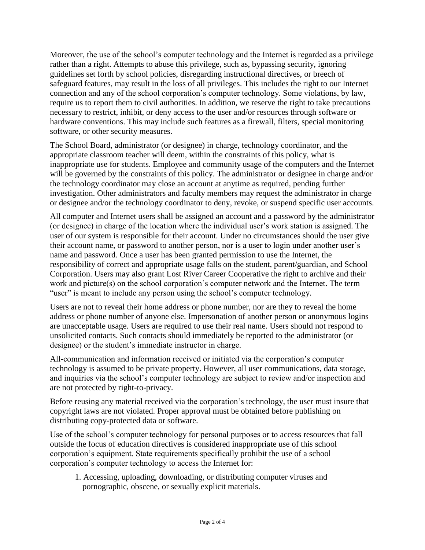Moreover, the use of the school's computer technology and the Internet is regarded as a privilege rather than a right. Attempts to abuse this privilege, such as, bypassing security, ignoring guidelines set forth by school policies, disregarding instructional directives, or breech of safeguard features, may result in the loss of all privileges. This includes the right to our Internet connection and any of the school corporation's computer technology. Some violations, by law, require us to report them to civil authorities. In addition, we reserve the right to take precautions necessary to restrict, inhibit, or deny access to the user and/or resources through software or hardware conventions. This may include such features as a firewall, filters, special monitoring software, or other security measures.

The School Board, administrator (or designee) in charge, technology coordinator, and the appropriate classroom teacher will deem, within the constraints of this policy, what is inappropriate use for students. Employee and community usage of the computers and the Internet will be governed by the constraints of this policy. The administrator or designee in charge and/or the technology coordinator may close an account at anytime as required, pending further investigation. Other administrators and faculty members may request the administrator in charge or designee and/or the technology coordinator to deny, revoke, or suspend specific user accounts.

All computer and Internet users shall be assigned an account and a password by the administrator (or designee) in charge of the location where the individual user's work station is assigned. The user of our system is responsible for their account. Under no circumstances should the user give their account name, or password to another person, nor is a user to login under another user's name and password. Once a user has been granted permission to use the Internet, the responsibility of correct and appropriate usage falls on the student, parent/guardian, and School Corporation. Users may also grant Lost River Career Cooperative the right to archive and their work and picture(s) on the school corporation's computer network and the Internet. The term "user" is meant to include any person using the school's computer technology.

Users are not to reveal their home address or phone number, nor are they to reveal the home address or phone number of anyone else. Impersonation of another person or anonymous logins are unacceptable usage. Users are required to use their real name. Users should not respond to unsolicited contacts. Such contacts should immediately be reported to the administrator (or designee) or the student's immediate instructor in charge.

All-communication and information received or initiated via the corporation's computer technology is assumed to be private property. However, all user communications, data storage, and inquiries via the school's computer technology are subject to review and/or inspection and are not protected by right-to-privacy.

Before reusing any material received via the corporation's technology, the user must insure that copyright laws are not violated. Proper approval must be obtained before publishing on distributing copy-protected data or software.

Use of the school's computer technology for personal purposes or to access resources that fall outside the focus of education directives is considered inappropriate use of this school corporation's equipment. State requirements specifically prohibit the use of a school corporation's computer technology to access the Internet for:

1. Accessing, uploading, downloading, or distributing computer viruses and pornographic, obscene, or sexually explicit materials.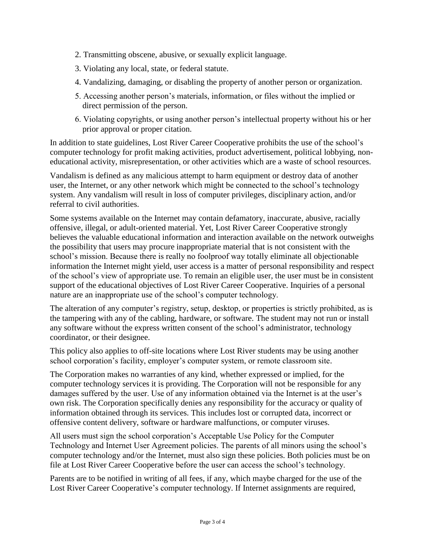- 2. Transmitting obscene, abusive, or sexually explicit language.
- 3. Violating any local, state, or federal statute.
- 4. Vandalizing, damaging, or disabling the property of another person or organization.
- 5. Accessing another person's materials, information, or files without the implied or direct permission of the person.
- 6. Violating copyrights, or using another person's intellectual property without his or her prior approval or proper citation.

In addition to state guidelines, Lost River Career Cooperative prohibits the use of the school's computer technology for profit making activities, product advertisement, political lobbying, noneducational activity, misrepresentation, or other activities which are a waste of school resources.

Vandalism is defined as any malicious attempt to harm equipment or destroy data of another user, the Internet, or any other network which might be connected to the school's technology system. Any vandalism will result in loss of computer privileges, disciplinary action, and/or referral to civil authorities.

Some systems available on the Internet may contain defamatory, inaccurate, abusive, racially offensive, illegal, or adult-oriented material. Yet, Lost River Career Cooperative strongly believes the valuable educational information and interaction available on the network outweighs the possibility that users may procure inappropriate material that is not consistent with the school's mission. Because there is really no foolproof way totally eliminate all objectionable information the Internet might yield, user access is a matter of personal responsibility and respect of the school's view of appropriate use. To remain an eligible user, the user must be in consistent support of the educational objectives of Lost River Career Cooperative. Inquiries of a personal nature are an inappropriate use of the school's computer technology.

The alteration of any computer's registry, setup, desktop, or properties is strictly prohibited, as is the tampering with any of the cabling, hardware, or software. The student may not run or install any software without the express written consent of the school's administrator, technology coordinator, or their designee.

This policy also applies to off-site locations where Lost River students may be using another school corporation's facility, employer's computer system, or remote classroom site.

The Corporation makes no warranties of any kind, whether expressed or implied, for the computer technology services it is providing. The Corporation will not be responsible for any damages suffered by the user. Use of any information obtained via the Internet is at the user's own risk. The Corporation specifically denies any responsibility for the accuracy or quality of information obtained through its services. This includes lost or corrupted data, incorrect or offensive content delivery, software or hardware malfunctions, or computer viruses.

All users must sign the school corporation's Acceptable Use Policy for the Computer Technology and Internet User Agreement policies. The parents of all minors using the school's computer technology and/or the Internet, must also sign these policies. Both policies must be on file at Lost River Career Cooperative before the user can access the school's technology.

Parents are to be notified in writing of all fees, if any, which maybe charged for the use of the Lost River Career Cooperative's computer technology. If Internet assignments are required,